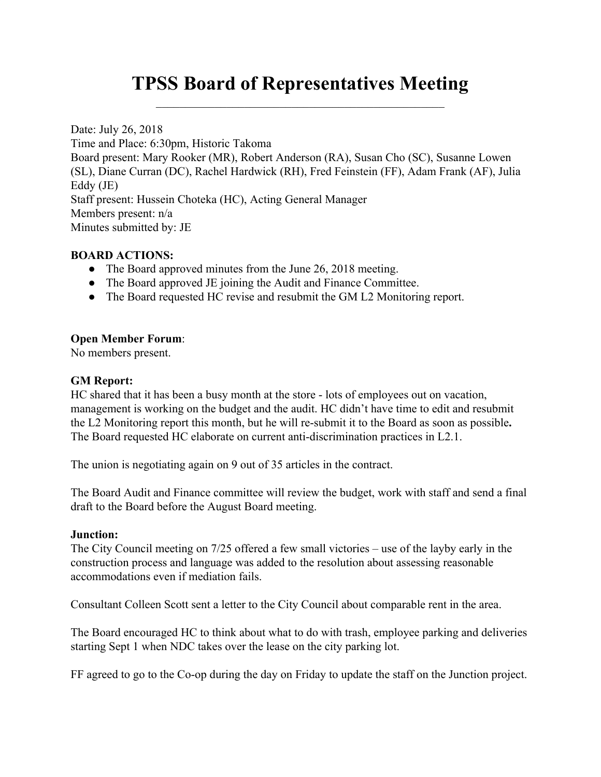# **TPSS Board of Representatives Meeting**  $\mathcal{L}_\text{max}$  , and the contract of the contract of the contract of the contract of the contract of the contract of the contract of the contract of the contract of the contract of the contract of the contract of the contr

Date: July 26, 2018 Time and Place: 6:30pm, Historic Takoma Board present: Mary Rooker (MR), Robert Anderson (RA), Susan Cho (SC), Susanne Lowen (SL), Diane Curran (DC), Rachel Hardwick (RH), Fred Feinstein (FF), Adam Frank (AF), Julia Eddy (JE) Staff present: Hussein Choteka (HC), Acting General Manager Members present: n/a Minutes submitted by: JE

# **BOARD ACTIONS:**

- The Board approved minutes from the June 26, 2018 meeting.
- The Board approved JE joining the Audit and Finance Committee.
- The Board requested HC revise and resubmit the GM L2 Monitoring report.

#### **Open Member Forum**:

No members present.

#### **GM Report:**

HC shared that it has been a busy month at the store - lots of employees out on vacation, management is working on the budget and the audit. HC didn't have time to edit and resubmit the L2 Monitoring report this month, but he will re-submit it to the Board as soon as possible**.** The Board requested HC elaborate on current anti-discrimination practices in L2.1.

The union is negotiating again on 9 out of 35 articles in the contract.

The Board Audit and Finance committee will review the budget, work with staff and send a final draft to the Board before the August Board meeting.

#### **Junction:**

The City Council meeting on 7/25 offered a few small victories – use of the layby early in the construction process and language was added to the resolution about assessing reasonable accommodations even if mediation fails.

Consultant Colleen Scott sent a letter to the City Council about comparable rent in the area.

The Board encouraged HC to think about what to do with trash, employee parking and deliveries starting Sept 1 when NDC takes over the lease on the city parking lot.

FF agreed to go to the Co-op during the day on Friday to update the staff on the Junction project.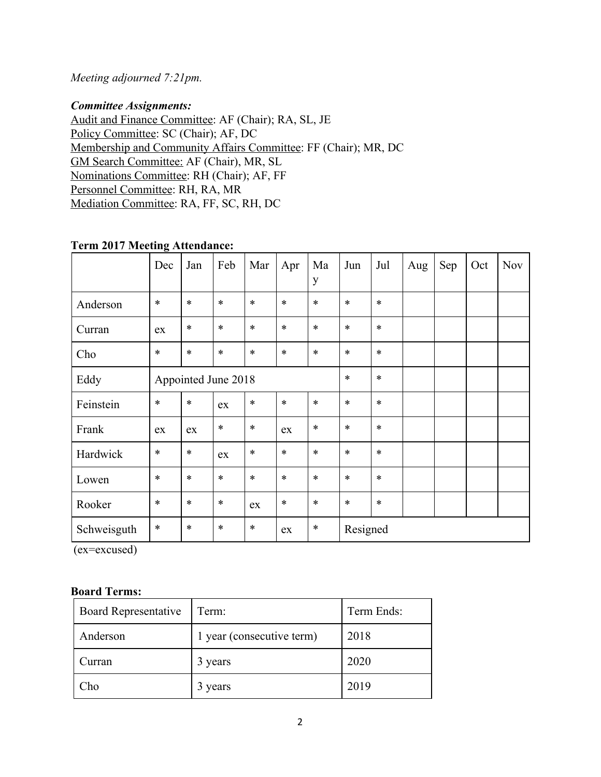# *Meeting adjourned 7:21pm.*

### *Committee Assignments:*

Audit and Finance Committee: AF (Chair); RA, SL, JE Policy Committee: SC (Chair); AF, DC Membership and Community Affairs Committee: FF (Chair); MR, DC GM Search Committee: AF (Chair), MR, SL Nominations Committee: RH (Chair); AF, FF Personnel Committee: RH, RA, MR Mediation Committee: RA, FF, SC, RH, DC

## **Term 2017 Meeting Attendance:**

|             | Dec                 | Jan    | Feb    | Mar    | Apr    | Ma<br>y | Jun      | Jul    | Aug | Sep | Oct | <b>Nov</b> |
|-------------|---------------------|--------|--------|--------|--------|---------|----------|--------|-----|-----|-----|------------|
| Anderson    | $\ast$              | $\ast$ | $\ast$ | $\ast$ | $\ast$ | $\ast$  | $\ast$   | $\ast$ |     |     |     |            |
| Curran      | ex                  | $\ast$ | $\ast$ | $\ast$ | $\ast$ | $\ast$  | $\ast$   | $\ast$ |     |     |     |            |
| Cho         | $\ast$              | $\ast$ | $\ast$ | $\ast$ | $\ast$ | $\ast$  | $\ast$   | $\ast$ |     |     |     |            |
| Eddy        | Appointed June 2018 |        |        |        |        | $\ast$  | $\ast$   |        |     |     |     |            |
| Feinstein   | $\ast$              | $\ast$ | ex     | $\ast$ | $\ast$ | $\ast$  | $\ast$   | $\ast$ |     |     |     |            |
| Frank       | ex                  | ex     | $\ast$ | $\ast$ | ex     | $\ast$  | $\ast$   | $\ast$ |     |     |     |            |
| Hardwick    | $\ast$              | $\ast$ | ex     | $\ast$ | $\ast$ | $\ast$  | $\ast$   | $\ast$ |     |     |     |            |
| Lowen       | $\ast$              | $\ast$ | $\ast$ | $\ast$ | $\ast$ | $\ast$  | $\ast$   | $\ast$ |     |     |     |            |
| Rooker      | $\ast$              | $\ast$ | $\ast$ | ex     | $\ast$ | $\ast$  | $\ast$   | $\ast$ |     |     |     |            |
| Schweisguth | $\ast$              | $\ast$ | $\ast$ | $\ast$ | ex     | $\ast$  | Resigned |        |     |     |     |            |

(ex=excused)

#### **Board Terms:**

| <b>Board Representative</b> | Term:                     | Term Ends: |  |  |
|-----------------------------|---------------------------|------------|--|--|
| Anderson                    | 1 year (consecutive term) | 2018       |  |  |
| Curran                      | 3 years                   | 2020       |  |  |
| Cho                         | 3 years                   | 2019       |  |  |